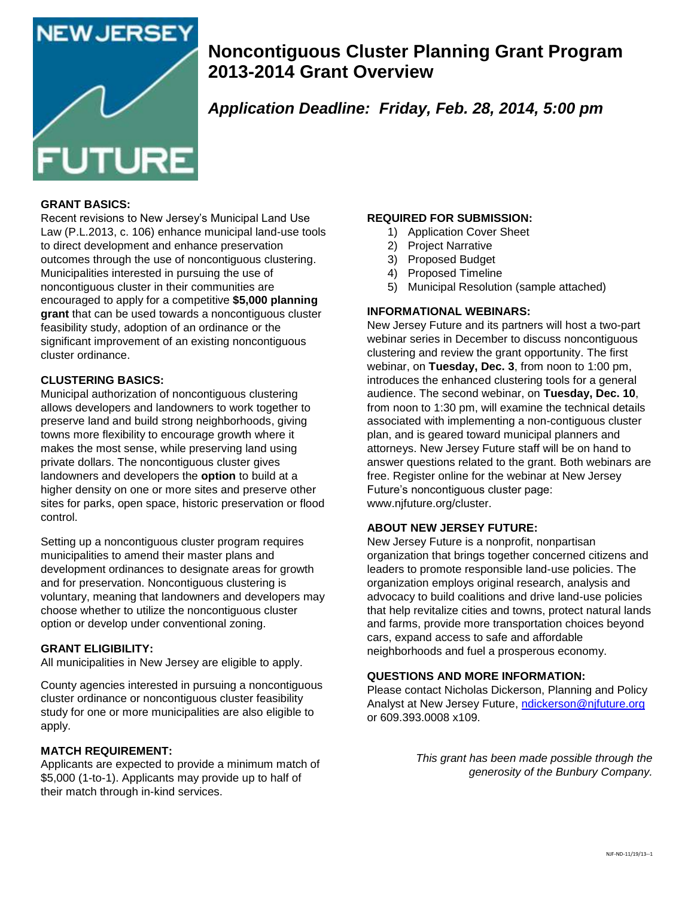

# **Noncontiguous Cluster Planning Grant Program 2013-2014 Grant Overview**

# *Application Deadline: Friday, Feb. 28, 2014, 5:00 pm*

## **GRANT BASICS:**

Recent revisions to New Jersey's Municipal Land Use Law (P.L.2013, c. 106) enhance municipal land-use tools to direct development and enhance preservation outcomes through the use of noncontiguous clustering. Municipalities interested in pursuing the use of noncontiguous cluster in their communities are encouraged to apply for a competitive **\$5,000 planning grant** that can be used towards a noncontiguous cluster feasibility study, adoption of an ordinance or the significant improvement of an existing noncontiguous cluster ordinance.

## **CLUSTERING BASICS:**

Municipal authorization of noncontiguous clustering allows developers and landowners to work together to preserve land and build strong neighborhoods, giving towns more flexibility to encourage growth where it makes the most sense, while preserving land using private dollars. The noncontiguous cluster gives landowners and developers the **option** to build at a higher density on one or more sites and preserve other sites for parks, open space, historic preservation or flood control.

Setting up a noncontiguous cluster program requires municipalities to amend their master plans and development ordinances to designate areas for growth and for preservation. Noncontiguous clustering is voluntary, meaning that landowners and developers may choose whether to utilize the noncontiguous cluster option or develop under conventional zoning.

## **GRANT ELIGIBILITY:**

All municipalities in New Jersey are eligible to apply.

County agencies interested in pursuing a noncontiguous cluster ordinance or noncontiguous cluster feasibility study for one or more municipalities are also eligible to apply.

#### **MATCH REQUIREMENT:**

Applicants are expected to provide a minimum match of \$5,000 (1-to-1). Applicants may provide up to half of their match through in-kind services.

## **REQUIRED FOR SUBMISSION:**

- 1) Application Cover Sheet
- 2) Project Narrative
- 3) Proposed Budget
- 4) Proposed Timeline
- 5) Municipal Resolution (sample attached)

#### **INFORMATIONAL WEBINARS:**

New Jersey Future and its partners will host a two-part webinar series in December to discuss noncontiguous clustering and review the grant opportunity. The first webinar, on **Tuesday, Dec. 3**, from noon to 1:00 pm, introduces the enhanced clustering tools for a general audience. The second webinar, on **Tuesday, Dec. 10**, from noon to 1:30 pm, will examine the technical details associated with implementing a non-contiguous cluster plan, and is geared toward municipal planners and attorneys. New Jersey Future staff will be on hand to answer questions related to the grant. Both webinars are free. Register online for the webinar at New Jersey Future's noncontiguous cluster page: www.njfuture.org/cluster.

#### **ABOUT NEW JERSEY FUTURE:**

New Jersey Future is a nonprofit, nonpartisan organization that brings together concerned citizens and leaders to promote responsible land-use policies. The organization employs original research, analysis and advocacy to build coalitions and drive land-use policies that help revitalize cities and towns, protect natural lands and farms, provide more transportation choices beyond cars, expand access to safe and affordable neighborhoods and fuel a prosperous economy.

#### **QUESTIONS AND MORE INFORMATION:**

Please contact Nicholas Dickerson, Planning and Policy Analyst at New Jersey Future, [ndickerson@njfuture.org](mailto:ndickerson@njfuture.org) or 609.393.0008 x109.

> *This grant has been made possible through the generosity of the Bunbury Company.*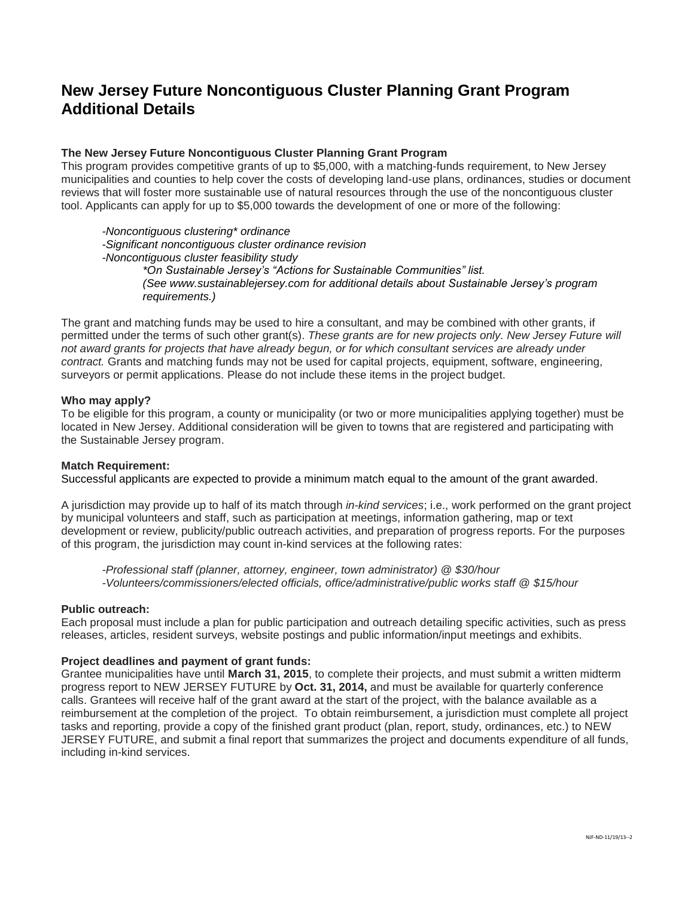## **New Jersey Future Noncontiguous Cluster Planning Grant Program Additional Details**

## **The New Jersey Future Noncontiguous Cluster Planning Grant Program**

This program provides competitive grants of up to \$5,000, with a matching-funds requirement, to New Jersey municipalities and counties to help cover the costs of developing land-use plans, ordinances, studies or document reviews that will foster more sustainable use of natural resources through the use of the noncontiguous cluster tool. Applicants can apply for up to \$5,000 towards the development of one or more of the following:

*-Noncontiguous clustering\* ordinance -Significant noncontiguous cluster ordinance revision -Noncontiguous cluster feasibility study \*On Sustainable Jersey's "Actions for Sustainable Communities" list. (See www.sustainablejersey.com for additional details about Sustainable Jersey's program requirements.)*

The grant and matching funds may be used to hire a consultant, and may be combined with other grants, if permitted under the terms of such other grant(s). *These grants are for new projects only. New Jersey Future will not award grants for projects that have already begun, or for which consultant services are already under contract.* Grants and matching funds may not be used for capital projects, equipment, software, engineering, surveyors or permit applications. Please do not include these items in the project budget.

#### **Who may apply?**

To be eligible for this program, a county or municipality (or two or more municipalities applying together) must be located in New Jersey. Additional consideration will be given to towns that are registered and participating with the Sustainable Jersey program.

#### **Match Requirement:**

Successful applicants are expected to provide a minimum match equal to the amount of the grant awarded.

A jurisdiction may provide up to half of its match through *in-kind services*; i.e., work performed on the grant project by municipal volunteers and staff, such as participation at meetings, information gathering, map or text development or review, publicity/public outreach activities, and preparation of progress reports. For the purposes of this program, the jurisdiction may count in-kind services at the following rates:

*-Professional staff (planner, attorney, engineer, town administrator) @ \$30/hour -Volunteers/commissioners/elected officials, office/administrative/public works staff @ \$15/hour*

#### **Public outreach:**

Each proposal must include a plan for public participation and outreach detailing specific activities, such as press releases, articles, resident surveys, website postings and public information/input meetings and exhibits.

#### **Project deadlines and payment of grant funds:**

Grantee municipalities have until **March 31, 2015**, to complete their projects, and must submit a written midterm progress report to NEW JERSEY FUTURE by **Oct. 31, 2014,** and must be available for quarterly conference calls. Grantees will receive half of the grant award at the start of the project, with the balance available as a reimbursement at the completion of the project. To obtain reimbursement, a jurisdiction must complete all project tasks and reporting, provide a copy of the finished grant product (plan, report, study, ordinances, etc.) to NEW JERSEY FUTURE, and submit a final report that summarizes the project and documents expenditure of all funds, including in-kind services.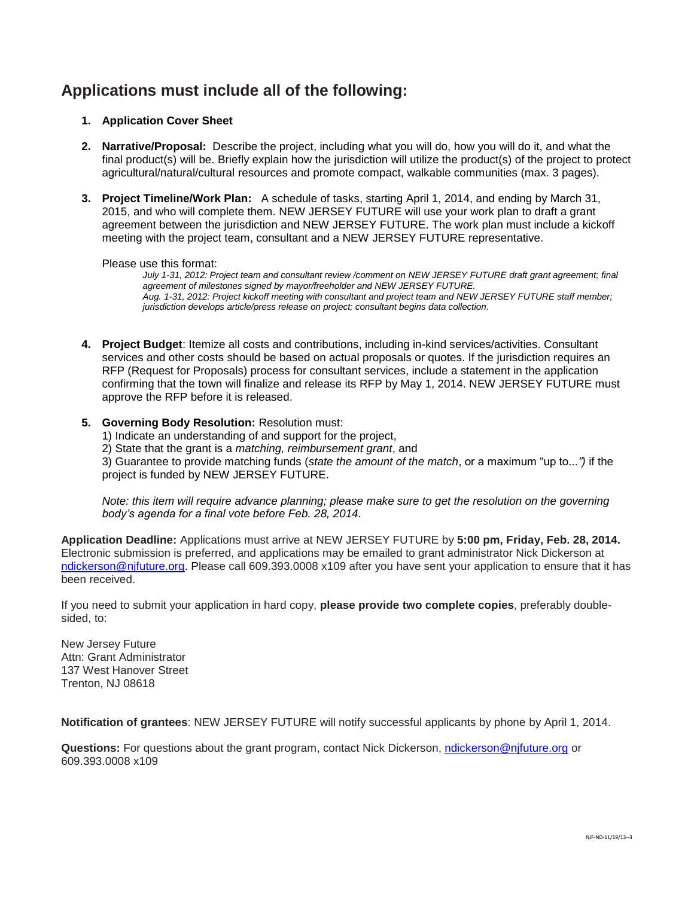## **Applications must include all of the following:**

## **1. Application Cover Sheet**

- **2. Narrative/Proposal:** Describe the project, including what you will do, how you will do it, and what the final product(s) will be. Briefly explain how the jurisdiction will utilize the product(s) of the project to protect agricultural/natural/cultural resources and promote compact, walkable communities (max. 3 pages).
- **3. Project Timeline/Work Plan:** A schedule of tasks, starting April 1, 2014, and ending by March 31, 2015, and who will complete them. NEW JERSEY FUTURE will use your work plan to draft a grant agreement between the jurisdiction and NEW JERSEY FUTURE. The work plan must include a kickoff meeting with the project team, consultant and a NEW JERSEY FUTURE representative.

#### Please use this format:

*July 1-31, 2012: Project team and consultant review /comment on NEW JERSEY FUTURE draft grant agreement; final agreement of milestones signed by mayor/freeholder and NEW JERSEY FUTURE. Aug. 1-31, 2012: Project kickoff meeting with consultant and project team and NEW JERSEY FUTURE staff member; jurisdiction develops article/press release on project; consultant begins data collection.*

- **4. Project Budget**: Itemize all costs and contributions, including in-kind services/activities. Consultant services and other costs should be based on actual proposals or quotes. If the jurisdiction requires an RFP (Request for Proposals) process for consultant services, include a statement in the application confirming that the town will finalize and release its RFP by May 1, 2014. NEW JERSEY FUTURE must approve the RFP before it is released.
- **5. Governing Body Resolution:** Resolution must:
	- 1) Indicate an understanding of and support for the project,

2) State that the grant is a *matching, reimbursement grant*, and

3) Guarantee to provide matching funds (*state the amount of the match*, or a maximum "up to*...")* if the project is funded by NEW JERSEY FUTURE.

*Note: this item will require advance planning; please make sure to get the resolution on the governing body's agenda for a final vote before Feb. 28, 2014.*

**Application Deadline:** Applications must arrive at NEW JERSEY FUTURE by **5:00 pm, Friday, Feb. 28, 2014.** Electronic submission is preferred, and applications may be emailed to grant administrator Nick Dickerson at [ndickerson@njfuture.org.](mailto:ndickerson@njfuture.org) Please call 609.393.0008 x109 after you have sent your application to ensure that it has been received.

If you need to submit your application in hard copy, **please provide two complete copies**, preferably doublesided, to:

New Jersey Future Attn: Grant Administrator 137 West Hanover Street Trenton, NJ 08618

**Notification of grantees**: NEW JERSEY FUTURE will notify successful applicants by phone by April 1, 2014.

**Questions:** For questions about the grant program, contact Nick Dickerson, [ndickerson@njfuture.org](mailto:ndickerson@njfuture.org) or 609.393.0008 x109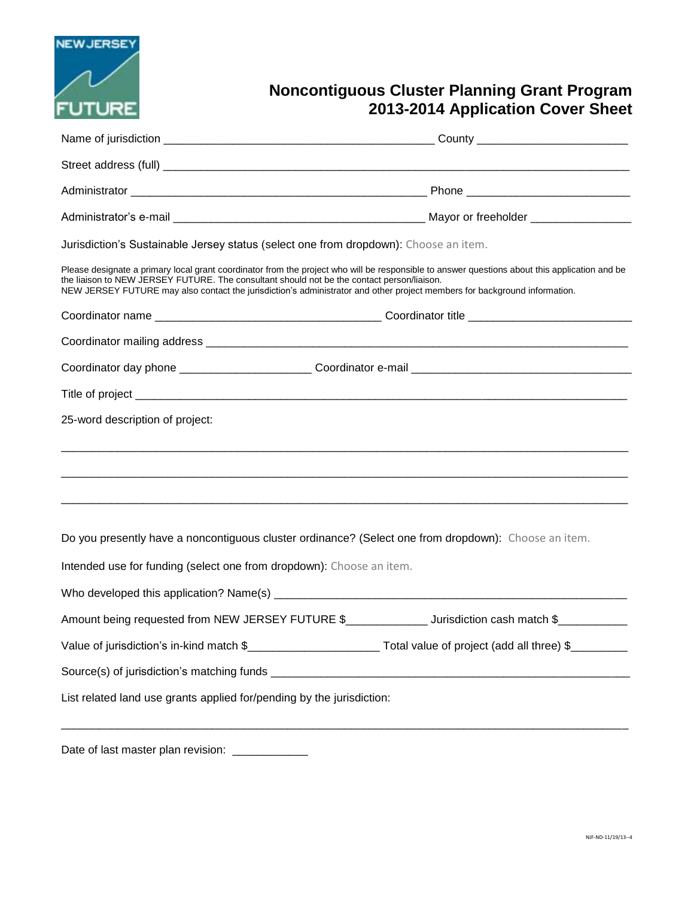

# **Noncontiguous Cluster Planning Grant Program 2013-2014 Application Cover Sheet**

| Jurisdiction's Sustainable Jersey status (select one from dropdown): Choose an item.                                                                                                                                                                                                                                                                                     |  |
|--------------------------------------------------------------------------------------------------------------------------------------------------------------------------------------------------------------------------------------------------------------------------------------------------------------------------------------------------------------------------|--|
| Please designate a primary local grant coordinator from the project who will be responsible to answer questions about this application and be<br>the liaison to NEW JERSEY FUTURE. The consultant should not be the contact person/liaison.<br>NEW JERSEY FUTURE may also contact the jurisdiction's administrator and other project members for background information. |  |
|                                                                                                                                                                                                                                                                                                                                                                          |  |
|                                                                                                                                                                                                                                                                                                                                                                          |  |
|                                                                                                                                                                                                                                                                                                                                                                          |  |
|                                                                                                                                                                                                                                                                                                                                                                          |  |
|                                                                                                                                                                                                                                                                                                                                                                          |  |
|                                                                                                                                                                                                                                                                                                                                                                          |  |
|                                                                                                                                                                                                                                                                                                                                                                          |  |
|                                                                                                                                                                                                                                                                                                                                                                          |  |
|                                                                                                                                                                                                                                                                                                                                                                          |  |
| Do you presently have a noncontiguous cluster ordinance? (Select one from dropdown): Choose an item.                                                                                                                                                                                                                                                                     |  |
| Intended use for funding (select one from dropdown): Choose an item.                                                                                                                                                                                                                                                                                                     |  |
|                                                                                                                                                                                                                                                                                                                                                                          |  |
| Amount being requested from NEW JERSEY FUTURE \$________________________ Jurisdiction cash match \$_____________                                                                                                                                                                                                                                                         |  |
| Value of jurisdiction's in-kind match \$____________________________Total value of project (add all three) \$________                                                                                                                                                                                                                                                    |  |
|                                                                                                                                                                                                                                                                                                                                                                          |  |
| List related land use grants applied for/pending by the jurisdiction:                                                                                                                                                                                                                                                                                                    |  |
|                                                                                                                                                                                                                                                                                                                                                                          |  |
|                                                                                                                                                                                                                                                                                                                                                                          |  |

Date of last master plan revision: \_\_\_\_\_\_\_\_\_\_\_\_\_\_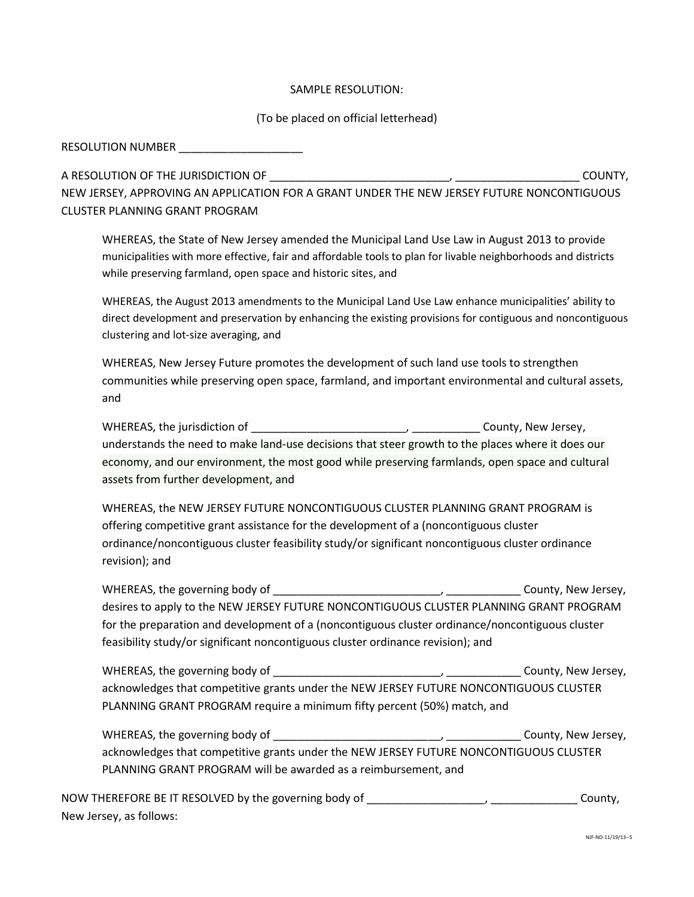## SAMPLE RESOLUTION:

## (To be placed on official letterhead)

RESOLUTION NUMBER \_\_\_\_\_\_\_\_\_\_\_\_\_\_\_\_\_\_\_\_

A RESOLUTION OF THE JURISDICTION OF \_\_\_\_\_\_\_\_\_\_\_\_\_\_\_\_\_\_\_\_\_\_\_\_\_\_\_\_\_, \_\_\_\_\_\_\_\_\_\_\_\_\_\_\_\_\_\_\_\_ COUNTY,

NEW JERSEY, APPROVING AN APPLICATION FOR A GRANT UNDER THE NEW JERSEY FUTURE NONCONTIGUOUS CLUSTER PLANNING GRANT PROGRAM

WHEREAS, the State of New Jersey amended the Municipal Land Use Law in August 2013 to provide municipalities with more effective, fair and affordable tools to plan for livable neighborhoods and districts while preserving farmland, open space and historic sites, and

WHEREAS, the August 2013 amendments to the Municipal Land Use Law enhance municipalities' ability to direct development and preservation by enhancing the existing provisions for contiguous and noncontiguous clustering and lot-size averaging, and

WHEREAS, New Jersey Future promotes the development of such land use tools to strengthen communities while preserving open space, farmland, and important environmental and cultural assets, and

| WHEREAS, the jurisdiction of                                                                      | County, New Jersey, |
|---------------------------------------------------------------------------------------------------|---------------------|
| understands the need to make land-use decisions that steer growth to the places where it does our |                     |
| economy, and our environment, the most good while preserving farmlands, open space and cultural   |                     |
| assets from further development, and                                                              |                     |

WHEREAS, the NEW JERSEY FUTURE NONCONTIGUOUS CLUSTER PLANNING GRANT PROGRAM is offering competitive grant assistance for the development of a (noncontiguous cluster ordinance/noncontiguous cluster feasibility study/or significant noncontiguous cluster ordinance revision); and

WHEREAS, the governing body of \_\_\_\_\_\_\_\_\_\_\_\_\_\_\_\_\_\_\_\_\_\_\_\_\_\_\_, \_\_\_\_\_\_\_\_\_\_\_\_ County, New Jersey, desires to apply to the NEW JERSEY FUTURE NONCONTIGUOUS CLUSTER PLANNING GRANT PROGRAM for the preparation and development of a (noncontiguous cluster ordinance/noncontiguous cluster feasibility study/or significant noncontiguous cluster ordinance revision); and

WHEREAS, the governing body of \_\_\_\_\_\_\_\_\_\_\_\_\_\_\_\_\_\_\_\_\_\_\_\_\_\_\_, \_\_\_\_\_\_\_\_\_\_\_\_ County, New Jersey, acknowledges that competitive grants under the NEW JERSEY FUTURE NONCONTIGUOUS CLUSTER PLANNING GRANT PROGRAM require a minimum fifty percent (50%) match, and

WHEREAS, the governing body of \_\_\_\_\_\_\_\_\_\_\_\_\_\_\_\_\_\_\_\_\_\_\_\_\_\_\_, \_\_\_\_\_\_\_\_\_\_\_\_ County, New Jersey, acknowledges that competitive grants under the NEW JERSEY FUTURE NONCONTIGUOUS CLUSTER PLANNING GRANT PROGRAM will be awarded as a reimbursement, and

NOW THEREFORE BE IT RESOLVED by the governing body of \_\_\_\_\_\_\_\_\_\_\_\_\_\_\_\_\_\_\_, \_\_\_\_\_\_\_\_\_\_\_\_\_\_ County, New Jersey, as follows: